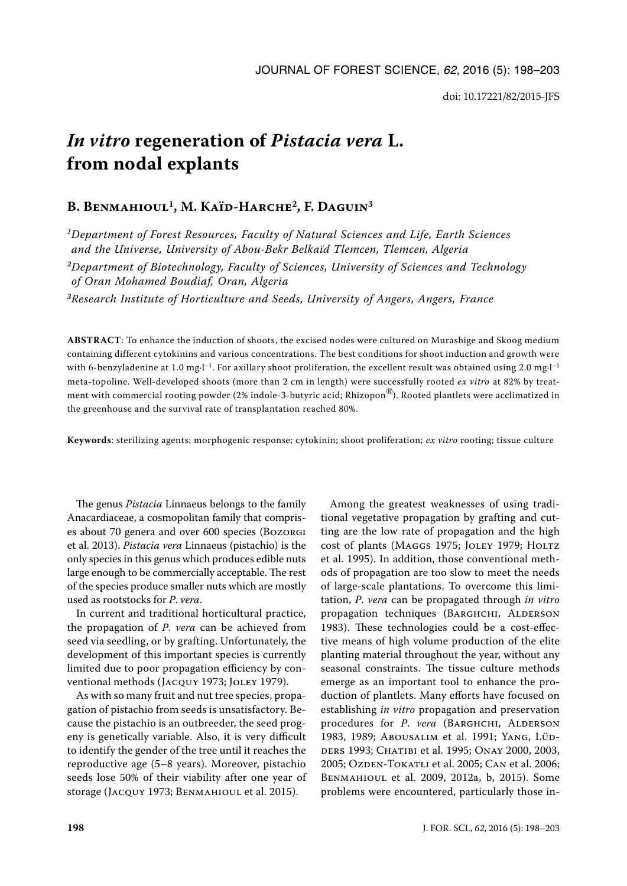# *In vitro* **regeneration of** *Pistacia vera* **L. from nodal explants**

# **B. Benmahioul1, M. Kaïd-Harche2, F. Daguin3**

*1Department of Forest Resources, Faculty of Natural Sciences and Life, Earth Sciences and the Universe, University of Abou-Bekr Belkaïd Tlemcen, Tlemcen, Algeria*

*<sup>2</sup>Department of Biotechnology, Faculty of Sciences, University of Sciences and Technology of Oran Mohamed Boudiaf, Oran, Algeria*

*<sup>3</sup>Research Institute of Horticulture and Seeds, University of Angers, Angers, France*

**ABSTRACT**: To enhance the induction of shoots, the excised nodes were cultured on Murashige and Skoog medium containing different cytokinins and various concentrations. The best conditions for shoot induction and growth were with 6-benzyladenine at 1.0 mg·l<sup>-1</sup>. For axillary shoot proliferation, the excellent result was obtained using 2.0 mg·l<sup>-1</sup> meta-topoline. Well-developed shoots (more than 2 cm in length) were successfully rooted *ex vitro* at 82% by treatment with commercial rooting powder (2% indole-3-butyric acid; Rhizopon®). Rooted plantlets were acclimatized in the greenhouse and the survival rate of transplantation reached 80%.

**Keywords**: sterilizing agents; morphogenic response; cytokinin; shoot proliferation; *ex vitro* rooting; tissue culture

The genus *Pistacia* Linnaeus belongs to the family Anacardiaceae, a cosmopolitan family that comprises about 70 genera and over 600 species (Bozorgi et al. 2013). *Pistacia vera* Linnaeus (pistachio) is the only species in this genus which produces edible nuts large enough to be commercially acceptable. The rest of the species produce smaller nuts which are mostly used as rootstocks for *P*. *vera*.

In current and traditional horticultural practice, the propagation of *P*. *vera* can be achieved from seed via seedling, or by grafting. Unfortunately, the development of this important species is currently limited due to poor propagation efficiency by conventional methods (Jacquy 1973; Joley 1979).

As with so many fruit and nut tree species, propagation of pistachio from seeds is unsatisfactory. Because the pistachio is an outbreeder, the seed progeny is genetically variable. Also, it is very difficult to identify the gender of the tree until it reaches the reproductive age (5–8 years). Moreover, pistachio seeds lose 50% of their viability after one year of storage (Jacquy 1973; Benmahioul et al. 2015).

Among the greatest weaknesses of using traditional vegetative propagation by grafting and cutting are the low rate of propagation and the high cost of plants (MAGGS 1975; JOLEY 1979; HOLTZ et al. 1995). In addition, those conventional methods of propagation are too slow to meet the needs of large-scale plantations. To overcome this limitation, *P*. *vera* can be propagated through *in vitro* propagation techniques (BARGHCHI, ALDERSON 1983). These technologies could be a cost-effective means of high volume production of the elite planting material throughout the year, without any seasonal constraints. The tissue culture methods emerge as an important tool to enhance the production of plantlets. Many efforts have focused on establishing *in vitro* propagation and preservation procedures for *P. vera* (BARGHCHI, ALDERSON 1983, 1989; Abousalim et al. 1991; Yang, Lüdders 1993; Chatibi et al. 1995; Onay 2000, 2003, 2005; Ozden-Tokatlı et al. 2005; Can et al. 2006; Benmahioul et al. 2009, 2012a, b, 2015). Some problems were encountered, particularly those in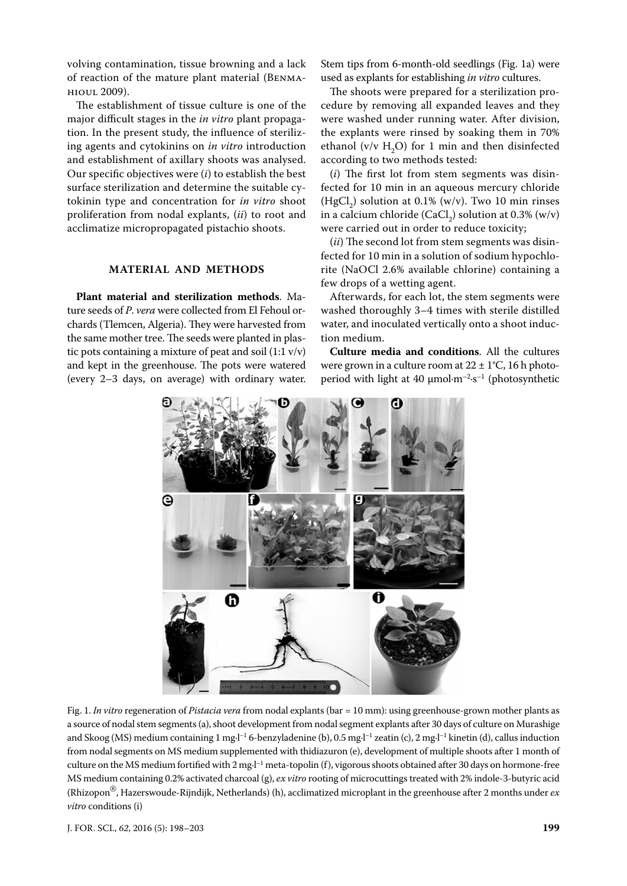volving contamination, tissue browning and a lack of reaction of the mature plant material (Benmahioul 2009).

The establishment of tissue culture is one of the major difficult stages in the *in vitro* plant propagation. In the present study, the influence of sterilizing agents and cytokinins on *in vitro* introduction and establishment of axillary shoots was analysed. Our specific objectives were (*i*) to establish the best surface sterilization and determine the suitable cytokinin type and concentration for *in vitro* shoot proliferation from nodal explants, (*ii*) to root and acclimatize micropropagated pistachio shoots.

# **Material and methods**

**Plant material and sterilization methods**. Mature seeds of *P*. *vera* were collected from El Fehoul orchards (Tlemcen, Algeria). They were harvested from the same mother tree. The seeds were planted in plastic pots containing a mixture of peat and soil  $(1:1 \text{ v/v})$ and kept in the greenhouse. The pots were watered (every 2–3 days, on average) with ordinary water. Stem tips from 6-month-old seedlings (Fig. 1a) were used as explants for establishing *in vitro* cultures.

The shoots were prepared for a sterilization procedure by removing all expanded leaves and they were washed under running water. After division, the explants were rinsed by soaking them in 70% ethanol ( $v/v$  H<sub>2</sub>O) for 1 min and then disinfected according to two methods tested:

(*i*) The first lot from stem segments was disinfected for 10 min in an aqueous mercury chloride  $(HgCl<sub>2</sub>)$  solution at 0.1% (w/v). Two 10 min rinses in a calcium chloride (CaCl<sub>2</sub>) solution at 0.3% (w/v) were carried out in order to reduce toxicity;

(*ii*) The second lot from stem segments was disinfected for 10 min in a solution of sodium hypochlorite (NaOCl 2.6% available chlorine) containing a few drops of a wetting agent.

Afterwards, for each lot, the stem segments were washed thoroughly 3–4 times with sterile distilled water, and inoculated vertically onto a shoot induction medium.

**Culture media and conditions**. All the cultures were grown in a culture room at  $22 \pm 1^{\circ}C$ , 16 h photoperiod with light at 40  $\mu$ mol·m<sup>-2</sup>·s<sup>-1</sup> (photosynthetic



Fig. 1. *In vitro* regeneration of *Pistacia vera* from nodal explants (bar = 10 mm): using greenhouse-grown mother plants as a source of nodal stem segments (a), shoot development from nodal segment explants after 30 days of culture on Murashige and Skoog (MS) medium containing 1 mg·l<sup>-1</sup> 6-benzyladenine (b), 0.5 mg·l<sup>-1</sup> zeatin (c), 2 mg·l<sup>-1</sup> kinetin (d), callus induction from nodal segments on MS medium supplemented with thidiazuron (e), development of multiple shoots after 1 month of culture on the MS medium fortified with  $2$  mg $l^{-1}$  meta-topolin (f), vigorous shoots obtained after 30 days on hormone-free MS medium containing 0.2% activated charcoal (g), *ex vitro* rooting of microcuttings treated with 2% indole-3-butyric acid (Rhizopon®, Hazerswoude-Rijndijk, Netherlands) (h), acclimatized microplant in the greenhouse after 2 months under *ex vitro* conditions (i)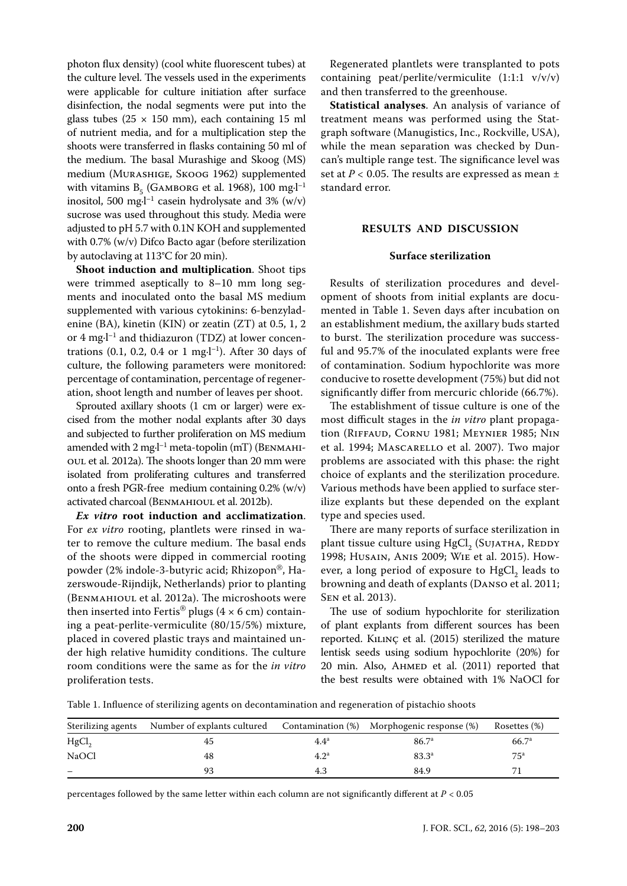photon flux density) (cool white fluorescent tubes) at the culture level. The vessels used in the experiments were applicable for culture initiation after surface disinfection, the nodal segments were put into the glass tubes ( $25 \times 150$  mm), each containing 15 ml of nutrient media, and for a multiplication step the shoots were transferred in flasks containing 50 ml of the medium. The basal Murashige and Skoog (MS) medium (Murashige, Skoog 1962) supplemented with vitamins  $B_5$  (GAMBORG et al. 1968), 100 mg $I^{-1}$ inositol, 500 mg $\cdot$ l<sup>-1</sup> casein hydrolysate and 3% (w/v) sucrose was used throughout this study. Media were adjusted to pH 5.7 with 0.1N KOH and supplemented with 0.7% (w/v) Difco Bacto agar (before sterilization by autoclaving at 113°C for 20 min).

**Shoot induction and multiplication**. Shoot tips were trimmed aseptically to 8–10 mm long segments and inoculated onto the basal MS medium supplemented with various cytokinins: 6-benzyladenine (BA), kinetin (KIN) or zeatin (ZT) at 0.5, 1, 2 or 4 mg·l<sup>-1</sup> and thidiazuron (TDZ) at lower concentrations (0.1, 0.2, 0.4 or 1 mg $-l^{-1}$ ). After 30 days of culture, the following parameters were monitored: percentage of contamination, percentage of regeneration, shoot length and number of leaves per shoot.

Sprouted axillary shoots (1 cm or larger) were excised from the mother nodal explants after 30 days and subjected to further proliferation on MS medium amended with  $2 \text{ mg-l}^{-1}$  meta-topolin (mT) (BENMAHIoul et al. 2012a). The shoots longer than 20 mm were isolated from proliferating cultures and transferred onto a fresh PGR-free medium containing 0.2% (w/v) activated charcoal (Benmahioul et al. 2012b).

*Ex vitro* **root induction and acclimatization**. For *ex vitro* rooting, plantlets were rinsed in water to remove the culture medium. The basal ends of the shoots were dipped in commercial rooting powder (2% indole-3-butyric acid; Rhizopon®, Hazerswoude-Rijndijk, Netherlands) prior to planting (Benmahioul et al. 2012a). The microshoots were then inserted into Fertis® plugs ( $4 \times 6$  cm) containing a peat-perlite-vermiculite (80/15/5%) mixture, placed in covered plastic trays and maintained under high relative humidity conditions. The culture room conditions were the same as for the *in vitro* proliferation tests.

Regenerated plantlets were transplanted to pots containing peat/perlite/vermiculite  $(1:1:1 \text{ v/v/v})$ and then transferred to the greenhouse.

**Statistical analyses**. An analysis of variance of treatment means was performed using the Statgraph software (Manugistics, Inc., Rockville, USA), while the mean separation was checked by Duncan's multiple range test. The significance level was set at  $P < 0.05$ . The results are expressed as mean  $\pm$ standard error.

## **Results and discussion**

### **Surface sterilization**

Results of sterilization procedures and development of shoots from initial explants are documented in Table 1. Seven days after incubation on an establishment medium, the axillary buds started to burst. The sterilization procedure was successful and 95.7% of the inoculated explants were free of contamination. Sodium hypochlorite was more conducive to rosette development (75%) but did not significantly differ from mercuric chloride (66.7%).

The establishment of tissue culture is one of the most difficult stages in the *in vitro* plant propagation (Riffaud, Cornu 1981; Meynier 1985; Nin et al. 1994; Mascarello et al. 2007). Two major problems are associated with this phase: the right choice of explants and the sterilization procedure. Various methods have been applied to surface sterilize explants but these depended on the explant type and species used.

There are many reports of surface sterilization in plant tissue culture using  $HgCl_2^{\bullet}$  (Sujatha, Reddy 1998; Husain, Anis 2009; Wie et al. 2015). However, a long period of exposure to  $HgCl<sub>2</sub>$  leads to browning and death of explants (Danso et al. 2011; Sen et al. 2013).

The use of sodium hypochlorite for sterilization of plant explants from different sources has been reported. Kılınç et al. (2015) sterilized the mature lentisk seeds using sodium hypochlorite (20%) for 20 min. Also, AHMED et al. (2011) reported that the best results were obtained with 1% NaOCl for

Table 1. Influence of sterilizing agents on decontamination and regeneration of pistachio shoots

| Sterilizing agents | Number of explants cultured | Contamination (%) | Morphogenic response (%) | Rosettes (%)    |
|--------------------|-----------------------------|-------------------|--------------------------|-----------------|
| HgCl               |                             | $4.4^a$           | 86.7 <sup>a</sup>        | $66.7^{\rm a}$  |
| <b>NaOCl</b>       | 48                          | 4.2 <sup>a</sup>  | $83.3^{a}$               | 75 <sup>a</sup> |
|                    |                             | 4.3               | 84.9                     |                 |

percentages followed by the same letter within each column are not significantly different at *P* < 0.05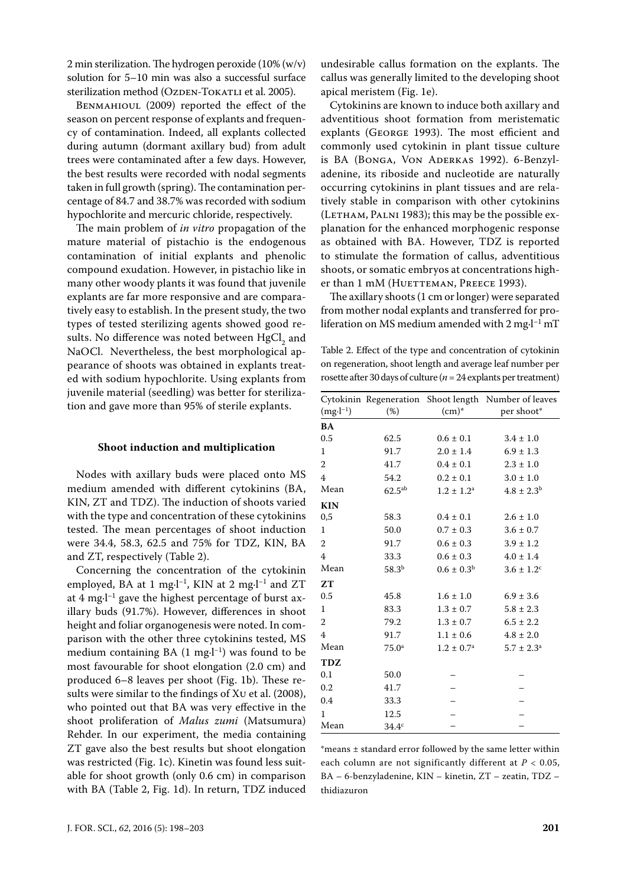2 min sterilization. The hydrogen peroxide (10% (w/v) solution for 5–10 min was also a successful surface sterilization method (OzDEN-TOKATLI et al. 2005).

Benmahioul (2009) reported the effect of the season on percent response of explants and frequency of contamination. Indeed, all explants collected during autumn (dormant axillary bud) from adult trees were contaminated after a few days. However, the best results were recorded with nodal segments taken in full growth (spring). The contamination percentage of 84.7 and 38.7% was recorded with sodium hypochlorite and mercuric chloride, respectively.

The main problem of *in vitro* propagation of the mature material of pistachio is the endogenous contamination of initial explants and phenolic compound exudation. However, in pistachio like in many other woody plants it was found that juvenile explants are far more responsive and are comparatively easy to establish. In the present study, the two types of tested sterilizing agents showed good results. No difference was noted between  $\mathrm{HgCl}_{2}$  and NaOCl. Nevertheless, the best morphological appearance of shoots was obtained in explants treated with sodium hypochlorite. Using explants from juvenile material (seedling) was better for sterilization and gave more than 95% of sterile explants.

#### **Shoot induction and multiplication**

Nodes with axillary buds were placed onto MS medium amended with different cytokinins (BA, KIN, ZT and TDZ). The induction of shoots varied with the type and concentration of these cytokinins tested. The mean percentages of shoot induction were 34.4, 58.3, 62.5 and 75% for TDZ, KIN, BA and ZT, respectively (Table 2).

Concerning the concentration of the cytokinin employed, BA at 1 mg·l<sup>-1</sup>, KIN at 2 mg·l<sup>-1</sup> and ZT at 4 mg $\cdot$ l<sup>-1</sup> gave the highest percentage of burst axillary buds (91.7%). However, differences in shoot height and foliar organogenesis were noted. In comparison with the other three cytokinins tested, MS medium containing BA (1 mg·l−1) was found to be most favourable for shoot elongation (2.0 cm) and produced 6–8 leaves per shoot (Fig. 1b). These results were similar to the findings of Xu et al. (2008), who pointed out that BA was very effective in the shoot proliferation of *Malus zumi* (Matsumura) Rehder. In our experiment, the media containing ZT gave also the best results but shoot elongation was restricted (Fig. 1c). Kinetin was found less suitable for shoot growth (only 0.6 cm) in comparison with BA (Table 2, Fig. 1d). In return, TDZ induced

undesirable callus formation on the explants. The callus was generally limited to the developing shoot apical meristem (Fig. 1e).

Cytokinins are known to induce both axillary and adventitious shoot formation from meristematic explants (George 1993). The most efficient and commonly used cytokinin in plant tissue culture is BA (Bonga, Von Aderkas 1992). 6-Benzyladenine, its riboside and nucleotide are naturally occurring cytokinins in plant tissues and are relatively stable in comparison with other cytokinins  $(LETHAM, PALNI 1983)$ ; this may be the possible explanation for the enhanced morphogenic response as obtained with BA. However, TDZ is reported to stimulate the formation of callus, adventitious shoots, or somatic embryos at concentrations higher than 1 mM (HUETTEMAN, PREECE 1993).

The axillary shoots (1 cm or longer) were separated from mother nodal explants and transferred for proliferation on MS medium amended with  $2 \text{ mg-l}^{-1} \text{ mT}$ 

Table 2. Effect of the type and concentration of cytokinin on regeneration, shoot length and average leaf number per rosette after 30 days of culture (*n* = 24 explants per treatment)

|                |                   |                       | Cytokinin Regeneration Shoot length Number of leaves |
|----------------|-------------------|-----------------------|------------------------------------------------------|
| $(mg·l^{-1})$  | (%)               | $(cm)^*$              | per shoot*                                           |
| BA             |                   |                       |                                                      |
| 0.5            | 62.5              | $0.6 \pm 0.1$         | $3.4 \pm 1.0$                                        |
| 1              | 91.7              | $2.0 \pm 1.4$         | $6.9 \pm 1.3$                                        |
| $\overline{2}$ | 41.7              | $0.4 \pm 0.1$         | $2.3 \pm 1.0$                                        |
| 4              | 54.2              | $0.2 \pm 0.1$         | $3.0 \pm 1.0$                                        |
| Mean           | $62.5^{ab}$       | $1.2 \pm 1.2^a$       | $4.8 \pm 2.3^b$                                      |
| <b>KIN</b>     |                   |                       |                                                      |
| 0,5            | 58.3              | $0.4 \pm 0.1$         | $2.6 \pm 1.0$                                        |
| $\mathbf{1}$   | 50.0              | $0.7 \pm 0.3$         | $3.6 \pm 0.7$                                        |
| $\overline{2}$ | 91.7              | $0.6 \pm 0.3$         | $3.9 \pm 1.2$                                        |
| $\overline{4}$ | 33.3              | $0.6 \pm 0.3$         | $4.0 \pm 1.4$                                        |
| Mean           | $58.3^{b}$        | $0.6 \pm 0.3^{\rm b}$ | $3.6 \pm 1.2$ <sup>c</sup>                           |
| ZT             |                   |                       |                                                      |
| 0.5            | 45.8              | $1.6 \pm 1.0$         | $6.9 \pm 3.6$                                        |
| $\mathbf{1}$   | 83.3              | $1.3 \pm 0.7$         | $5.8 \pm 2.3$                                        |
| 2              | 79.2              | $1.3 \pm 0.7$         | $6.5 \pm 2.2$                                        |
| 4              | 91.7              | $1.1 \pm 0.6$         | $4.8 \pm 2.0$                                        |
| Mean           | $75.0^{\circ}$    | $1.2 \pm 0.7^{\rm a}$ | $5.7 \pm 2.3^{\circ}$                                |
| <b>TDZ</b>     |                   |                       |                                                      |
| 0.1            | 50.0              |                       |                                                      |
| 0.2            | 41.7              |                       |                                                      |
| 0.4            | 33.3              |                       |                                                      |
| 1              | 12.5              |                       |                                                      |
| Mean           | 34.4 <sup>c</sup> |                       |                                                      |

\*means ± standard error followed by the same letter within each column are not significantly different at *P* < 0.05, BA – 6-benzyladenine, KIN – kinetin, ZT – zeatin, TDZ – thidiazuron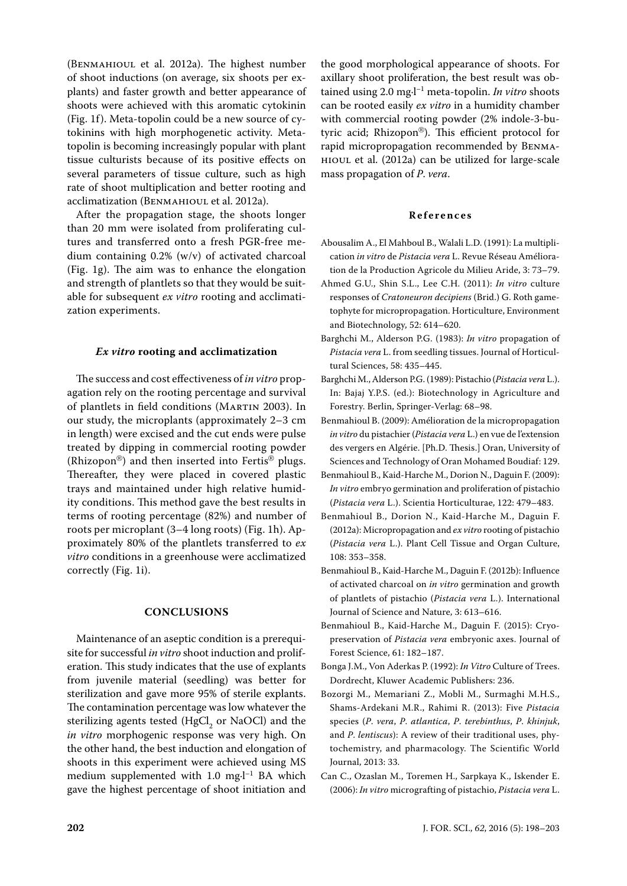(Benmahioul et al. 2012a). The highest number of shoot inductions (on average, six shoots per explants) and faster growth and better appearance of shoots were achieved with this aromatic cytokinin (Fig. 1f). Meta-topolin could be a new source of cytokinins with high morphogenetic activity. Metatopolin is becoming increasingly popular with plant tissue culturists because of its positive effects on several parameters of tissue culture, such as high rate of shoot multiplication and better rooting and acclimatization (Benmahioul et al. 2012a).

After the propagation stage, the shoots longer than 20 mm were isolated from proliferating cultures and transferred onto a fresh PGR-free medium containing 0.2% (w/v) of activated charcoal (Fig. 1g). The aim was to enhance the elongation and strength of plantlets so that they would be suitable for subsequent *ex vitro* rooting and acclimatization experiments.

#### *Ex vitro* **rooting and acclimatization**

The success and cost effectiveness of *in vitro* propagation rely on the rooting percentage and survival of plantlets in field conditions (Martin 2003). In our study, the microplants (approximately 2–3 cm in length) were excised and the cut ends were pulse treated by dipping in commercial rooting powder (Rhizopon®) and then inserted into Fertis® plugs. Thereafter, they were placed in covered plastic trays and maintained under high relative humidity conditions. This method gave the best results in terms of rooting percentage (82%) and number of roots per microplant (3–4 long roots) (Fig. 1h). Approximately 80% of the plantlets transferred to *ex vitro* conditions in a greenhouse were acclimatized correctly (Fig. 1i).

#### **ConclusionS**

Maintenance of an aseptic condition is a prerequisite for successful *in vitro* shoot induction and proliferation. This study indicates that the use of explants from juvenile material (seedling) was better for sterilization and gave more 95% of sterile explants. The contamination percentage was low whatever the sterilizing agents tested (HgCl<sub>2</sub> or NaOCl) and the *in vitro* morphogenic response was very high. On the other hand, the best induction and elongation of shoots in this experiment were achieved using MS medium supplemented with  $1.0$  mg $\cdot$ l<sup>-1</sup> BA which gave the highest percentage of shoot initiation and

the good morphological appearance of shoots. For axillary shoot proliferation, the best result was obtained using 2.0 mg·l–1 meta-topolin. *In vitro* shoots can be rooted easily *ex vitro* in a humidity chamber with commercial rooting powder (2% indole-3-butyric acid; Rhizopon®). This efficient protocol for rapid micropropagation recommended by Benmahioul et al. (2012a) can be utilized for large-scale mass propagation of *P*. *vera*.

#### **References**

- Abousalim A., El Mahboul B., Walali L.D. (1991): La multiplication *in vitro* de *Pistacia vera* L. Revue Réseau Amélioration de la Production Agricole du Milieu Aride, 3: 73–79.
- Ahmed G.U., Shin S.L., Lee C.H. (2011): *In vitro* culture responses of *Cratoneuron decipiens* (Brid.) G. Roth gametophyte for micropropagation. Horticulture, Environment and Biotechnology, 52: 614–620.
- Barghchi M., Alderson P.G. (1983): *In vitro* propagation of *Pistacia vera* L. from seedling tissues. Journal of Horticultural Sciences, 58: 435–445.
- Barghchi M., Alderson P.G. (1989): Pistachio (*Pistacia vera* L.). In: Bajaj Y.P.S. (ed.): Biotechnology in Agriculture and Forestry. Berlin, Springer-Verlag: 68–98.
- Benmahioul B. (2009): Amélioration de la micropropagation *in vitro* du pistachier (*Pistacia vera* L.) en vue de l'extension des vergers en Algérie. [Ph.D. Thesis.] Oran, University of Sciences and Technology of Oran Mohamed Boudiaf: 129.
- Benmahioul B., Kaid-Harche M., Dorion N., Daguin F. (2009): *In vitro* embryo germination and proliferation of pistachio (*Pistacia vera* L.). Scientia Horticulturae, 122: 479–483.
- Benmahioul B., Dorion N., Kaid-Harche M., Daguin F. (2012a): Micropropagation and *ex vitro* rooting of pistachio (*Pistacia vera* L.). Plant Cell Tissue and Organ Culture, 108: 353–358.
- Benmahioul B., Kaid-Harche M., Daguin F. (2012b): Influence of activated charcoal on *in vitro* germination and growth of plantlets of pistachio (*Pistacia vera* L.). International Journal of Science and Nature, 3: 613–616.
- Benmahioul B., Kaid-Harche M., Daguin F. (2015): Cryopreservation of *Pistacia vera* embryonic axes. Journal of Forest Science, 61: 182–187.
- Bonga J.M., Von Aderkas P. (1992): *In Vitro* Culture of Trees. Dordrecht, Kluwer Academic Publishers: 236.
- Bozorgi M., Memariani Z., Mobli M., Surmaghi M.H.S., Shams-Ardekani M.R., Rahimi R. (2013): Five *Pistacia*  species (*P*. *vera*, *P*. *atlantica*, *P*. *terebinthus*, *P*. *khinjuk*, and *P*. *lentiscus*): A review of their traditional uses, phytochemistry, and pharmacology. The Scientific World Journal, 2013: 33.
- Can C., Ozaslan M., Toremen H., Sarpkaya K., Iskender E. (2006): *In vitro* micrografting of pistachio, *Pistacia vera* L.